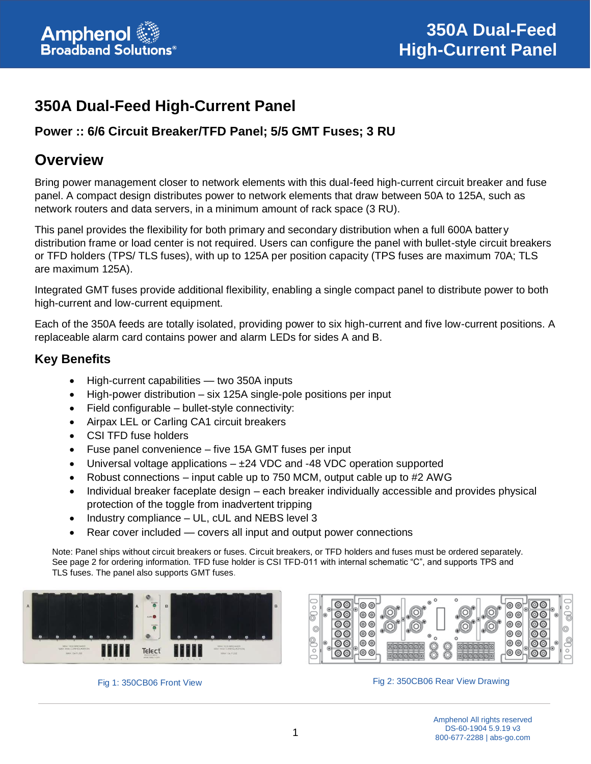

# **350A Dual-Feed High-Current Panel**

### **Power :: 6/6 Circuit Breaker/TFD Panel; 5/5 GMT Fuses; 3 RU**

# **Overview**

Bring power management closer to network elements with this dual-feed high-current circuit breaker and fuse panel. A compact design distributes power to network elements that draw between 50A to 125A, such as network routers and data servers, in a minimum amount of rack space (3 RU).

This panel provides the flexibility for both primary and secondary distribution when a full 600A battery distribution frame or load center is not required. Users can configure the panel with bullet-style circuit breakers or TFD holders (TPS/ TLS fuses), with up to 125A per position capacity (TPS fuses are maximum 70A; TLS are maximum 125A).

Integrated GMT fuses provide additional flexibility, enabling a single compact panel to distribute power to both high-current and low-current equipment.

Each of the 350A feeds are totally isolated, providing power to six high-current and five low-current positions. A replaceable alarm card contains power and alarm LEDs for sides A and B.

#### **Key Benefits**

- High-current capabilities two 350A inputs
- High-power distribution six 125A single-pole positions per input
- Field configurable bullet-style connectivity:
- Airpax LEL or Carling CA1 circuit breakers
- CSI TFD fuse holders
- Fuse panel convenience five 15A GMT fuses per input
- Universal voltage applications  $-\pm 24$  VDC and -48 VDC operation supported
- Robust connections input cable up to 750 MCM, output cable up to #2 AWG
- Individual breaker faceplate design each breaker individually accessible and provides physical protection of the toggle from inadvertent tripping
- Industry compliance UL, cUL and NEBS level 3
- Rear cover included covers all input and output power connections

Note: Panel ships without circuit breakers or fuses. Circuit breakers, or TFD holders and fuses must be ordered separately. See page 2 for ordering information. TFD fuse holder is CSI TFD-011 with internal schematic "C", and supports TPS and TLS fuses. The panel also supports GMT fuses.







Fig 1: 350CB06 Front View Fig 2: 350CB06 Rear View Drawing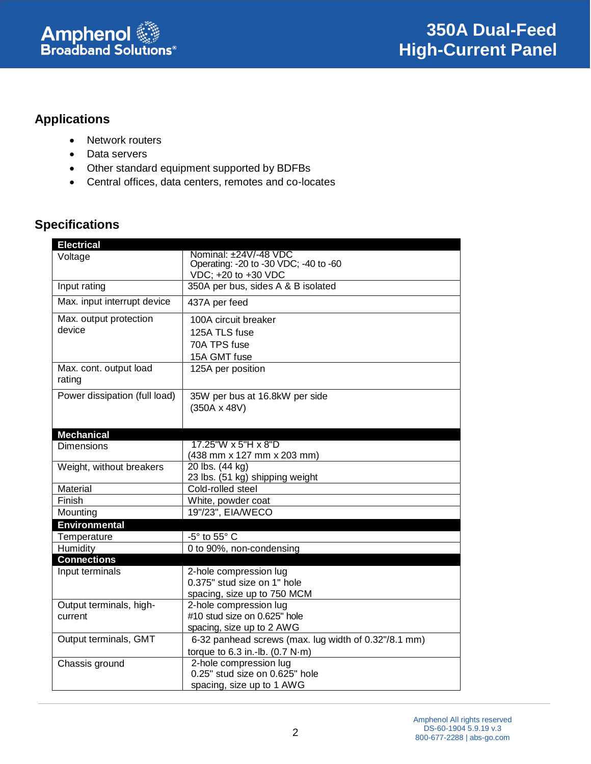

# **Applications**

- Network routers
- Data servers
- Other standard equipment supported by BDFBs
- Central offices, data centers, remotes and co-locates

# **Specifications**

| <b>Electrical</b>                |                                                              |
|----------------------------------|--------------------------------------------------------------|
| Voltage                          | Nominal: ±24V/-48 VDC                                        |
|                                  | Operating: -20 to -30 VDC; -40 to -60<br>VDC; +20 to +30 VDC |
| Input rating                     | 350A per bus, sides A & B isolated                           |
|                                  |                                                              |
| Max. input interrupt device      | 437A per feed                                                |
| Max. output protection           | 100A circuit breaker                                         |
| device                           | 125A TLS fuse                                                |
|                                  | 70A TPS fuse                                                 |
|                                  | 15A GMT fuse                                                 |
| Max. cont. output load<br>rating | 125A per position                                            |
| Power dissipation (full load)    | 35W per bus at 16.8kW per side                               |
|                                  | $(350A \times 48V)$                                          |
|                                  |                                                              |
| <b>Mechanical</b>                |                                                              |
| Dimensions                       | 17.25"W x 5"H x 8"D                                          |
|                                  | (438 mm x 127 mm x 203 mm)                                   |
| Weight, without breakers         | 20 lbs. (44 kg)                                              |
|                                  | 23 lbs. (51 kg) shipping weight                              |
| Material                         | Cold-rolled steel                                            |
| Finish                           | White, powder coat<br>19"/23", EIA/WECO                      |
| Mounting                         |                                                              |
| <b>Environmental</b>             |                                                              |
| Temperature                      | -5° to 55° C                                                 |
| Humidity                         | 0 to 90%, non-condensing                                     |
| <b>Connections</b>               |                                                              |
| Input terminals                  | 2-hole compression lug<br>0.375" stud size on 1" hole        |
|                                  | spacing, size up to 750 MCM                                  |
| Output terminals, high-          | 2-hole compression lug                                       |
| current                          | #10 stud size on 0.625" hole                                 |
|                                  | spacing, size up to 2 AWG                                    |
| Output terminals, GMT            | 6-32 panhead screws (max. lug width of 0.32"/8.1 mm)         |
|                                  | torque to $6.3$ in.-lb. $(0.7 N·m)$                          |
| Chassis ground                   | 2-hole compression lug                                       |
|                                  | 0.25" stud size on 0.625" hole                               |
|                                  | spacing, size up to 1 AWG                                    |